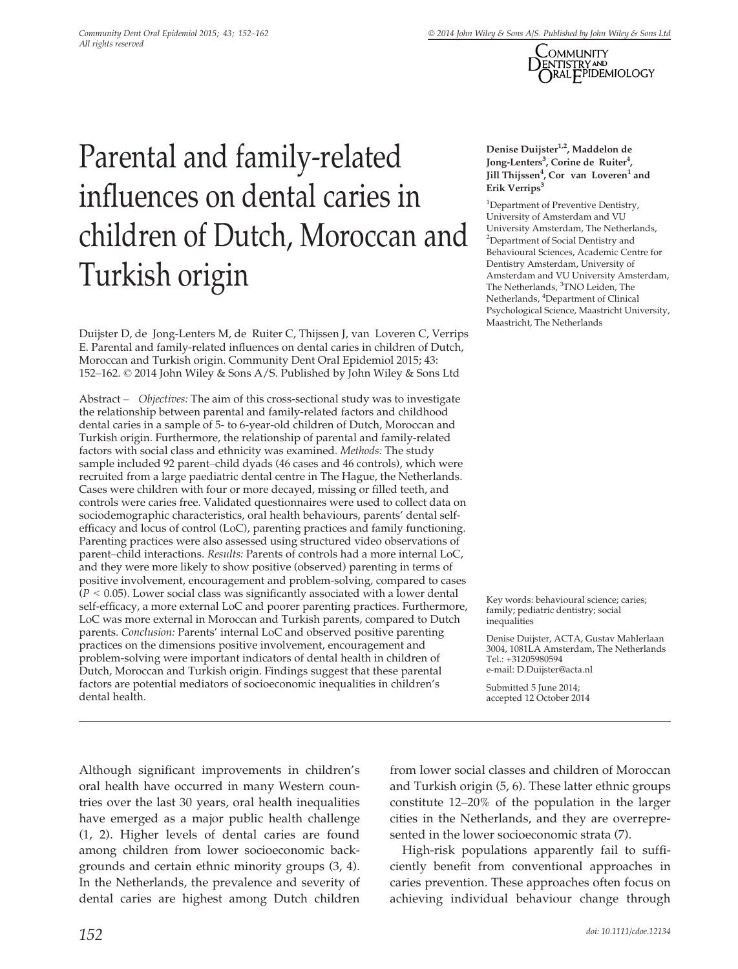

# Parental and family-related influences on dental caries in children of Dutch, Moroccan and Turkish origin

Duijster D, de Jong-Lenters M, de Ruiter C, Thijssen J, van Loveren C, Verrips E. Parental and family-related influences on dental caries in children of Dutch, Moroccan and Turkish origin. Community Dent Oral Epidemiol 2015; 43: 152–162. © 2014 John Wiley & Sons A/S. Published by John Wiley & Sons Ltd

Abstract – Objectives: The aim of this cross-sectional study was to investigate the relationship between parental and family-related factors and childhood dental caries in a sample of 5- to 6-year-old children of Dutch, Moroccan and Turkish origin. Furthermore, the relationship of parental and family-related factors with social class and ethnicity was examined. Methods: The study sample included 92 parent–child dyads (46 cases and 46 controls), which were recruited from a large paediatric dental centre in The Hague, the Netherlands. Cases were children with four or more decayed, missing or filled teeth, and controls were caries free. Validated questionnaires were used to collect data on sociodemographic characteristics, oral health behaviours, parents' dental selfefficacy and locus of control (LoC), parenting practices and family functioning. Parenting practices were also assessed using structured video observations of parent–child interactions. Results: Parents of controls had a more internal LoC, and they were more likely to show positive (observed) parenting in terms of positive involvement, encouragement and problem-solving, compared to cases  $(P < 0.05)$ . Lower social class was significantly associated with a lower dental self-efficacy, a more external LoC and poorer parenting practices. Furthermore, LoC was more external in Moroccan and Turkish parents, compared to Dutch parents. Conclusion: Parents' internal LoC and observed positive parenting practices on the dimensions positive involvement, encouragement and problem-solving were important indicators of dental health in children of Dutch, Moroccan and Turkish origin. Findings suggest that these parental factors are potential mediators of socioeconomic inequalities in children's dental health.

#### Denise Duijster<sup>1,2</sup>, Maddelon de Jong-Lenters<sup>3</sup>, Corine de Ruiter<sup>4</sup>, Jill Thijssen<sup>4</sup>, Cor van Loveren<sup>1</sup> and Erik Verrips<sup>3</sup>

<sup>1</sup>Department of Preventive Dentistry, University of Amsterdam and VU University Amsterdam, The Netherlands, <sup>2</sup>Department of Social Dentistry and Behavioural Sciences, Academic Centre for Dentistry Amsterdam, University of Amsterdam and VU University Amsterdam, The Netherlands, <sup>3</sup>TNO Leiden, The Netherlands, <sup>4</sup>Department of Clinical Psychological Science, Maastricht University, Maastricht, The Netherlands

Key words: behavioural science; caries; family; pediatric dentistry; social inequalities

Denise Duijster, ACTA, Gustav Mahlerlaan 3004, 1081LA Amsterdam, The Netherlands Tel.: +31205980594 e-mail: D.Duijster@acta.nl

Submitted 5 June 2014; accepted 12 October 2014

Although significant improvements in children's oral health have occurred in many Western countries over the last 30 years, oral health inequalities have emerged as a major public health challenge (1, 2). Higher levels of dental caries are found among children from lower socioeconomic backgrounds and certain ethnic minority groups (3, 4). In the Netherlands, the prevalence and severity of dental caries are highest among Dutch children

from lower social classes and children of Moroccan and Turkish origin (5, 6). These latter ethnic groups constitute 12–20% of the population in the larger cities in the Netherlands, and they are overrepresented in the lower socioeconomic strata (7).

High-risk populations apparently fail to sufficiently benefit from conventional approaches in caries prevention. These approaches often focus on achieving individual behaviour change through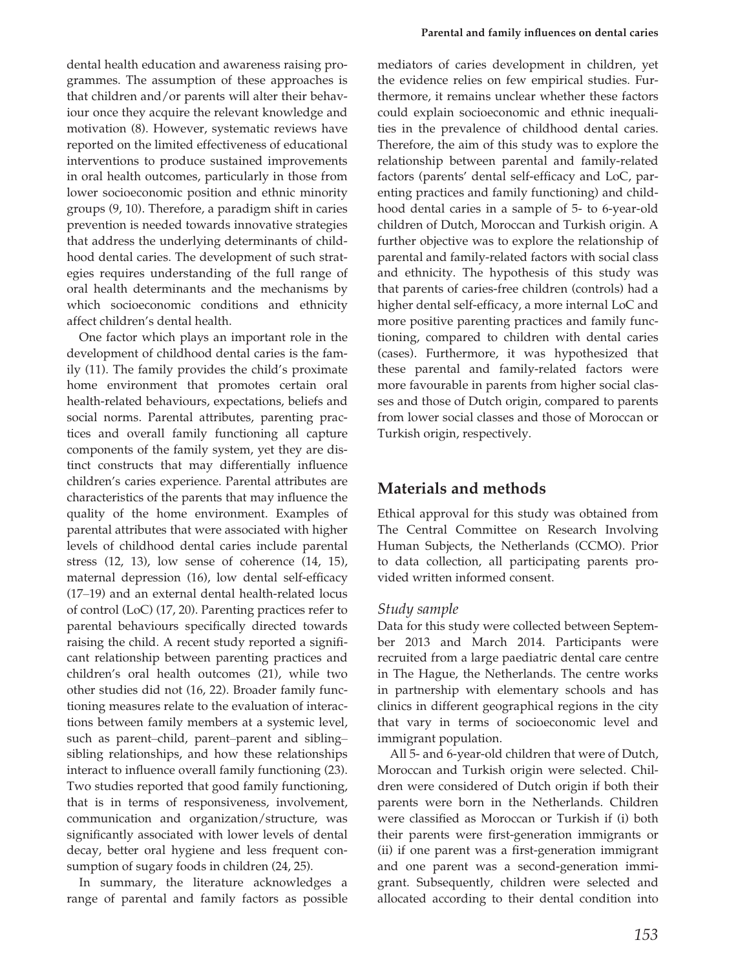dental health education and awareness raising programmes. The assumption of these approaches is that children and/or parents will alter their behaviour once they acquire the relevant knowledge and motivation (8). However, systematic reviews have reported on the limited effectiveness of educational interventions to produce sustained improvements in oral health outcomes, particularly in those from lower socioeconomic position and ethnic minority groups (9, 10). Therefore, a paradigm shift in caries prevention is needed towards innovative strategies that address the underlying determinants of childhood dental caries. The development of such strategies requires understanding of the full range of oral health determinants and the mechanisms by which socioeconomic conditions and ethnicity affect children's dental health.

One factor which plays an important role in the development of childhood dental caries is the family (11). The family provides the child's proximate home environment that promotes certain oral health-related behaviours, expectations, beliefs and social norms. Parental attributes, parenting practices and overall family functioning all capture components of the family system, yet they are distinct constructs that may differentially influence children's caries experience. Parental attributes are characteristics of the parents that may influence the quality of the home environment. Examples of parental attributes that were associated with higher levels of childhood dental caries include parental stress (12, 13), low sense of coherence (14, 15), maternal depression (16), low dental self-efficacy (17–19) and an external dental health-related locus of control (LoC) (17, 20). Parenting practices refer to parental behaviours specifically directed towards raising the child. A recent study reported a significant relationship between parenting practices and children's oral health outcomes (21), while two other studies did not (16, 22). Broader family functioning measures relate to the evaluation of interactions between family members at a systemic level, such as parent–child, parent–parent and sibling– sibling relationships, and how these relationships interact to influence overall family functioning (23). Two studies reported that good family functioning, that is in terms of responsiveness, involvement, communication and organization/structure, was significantly associated with lower levels of dental decay, better oral hygiene and less frequent consumption of sugary foods in children (24, 25).

In summary, the literature acknowledges a range of parental and family factors as possible mediators of caries development in children, yet the evidence relies on few empirical studies. Furthermore, it remains unclear whether these factors could explain socioeconomic and ethnic inequalities in the prevalence of childhood dental caries. Therefore, the aim of this study was to explore the relationship between parental and family-related factors (parents' dental self-efficacy and LoC, parenting practices and family functioning) and childhood dental caries in a sample of 5- to 6-year-old children of Dutch, Moroccan and Turkish origin. A further objective was to explore the relationship of parental and family-related factors with social class and ethnicity. The hypothesis of this study was that parents of caries-free children (controls) had a higher dental self-efficacy, a more internal LoC and more positive parenting practices and family functioning, compared to children with dental caries (cases). Furthermore, it was hypothesized that these parental and family-related factors were more favourable in parents from higher social classes and those of Dutch origin, compared to parents from lower social classes and those of Moroccan or Turkish origin, respectively.

## Materials and methods

Ethical approval for this study was obtained from The Central Committee on Research Involving Human Subjects, the Netherlands (CCMO). Prior to data collection, all participating parents provided written informed consent.

## Study sample

Data for this study were collected between September 2013 and March 2014. Participants were recruited from a large paediatric dental care centre in The Hague, the Netherlands. The centre works in partnership with elementary schools and has clinics in different geographical regions in the city that vary in terms of socioeconomic level and immigrant population.

All 5- and 6-year-old children that were of Dutch, Moroccan and Turkish origin were selected. Children were considered of Dutch origin if both their parents were born in the Netherlands. Children were classified as Moroccan or Turkish if (i) both their parents were first-generation immigrants or (ii) if one parent was a first-generation immigrant and one parent was a second-generation immigrant. Subsequently, children were selected and allocated according to their dental condition into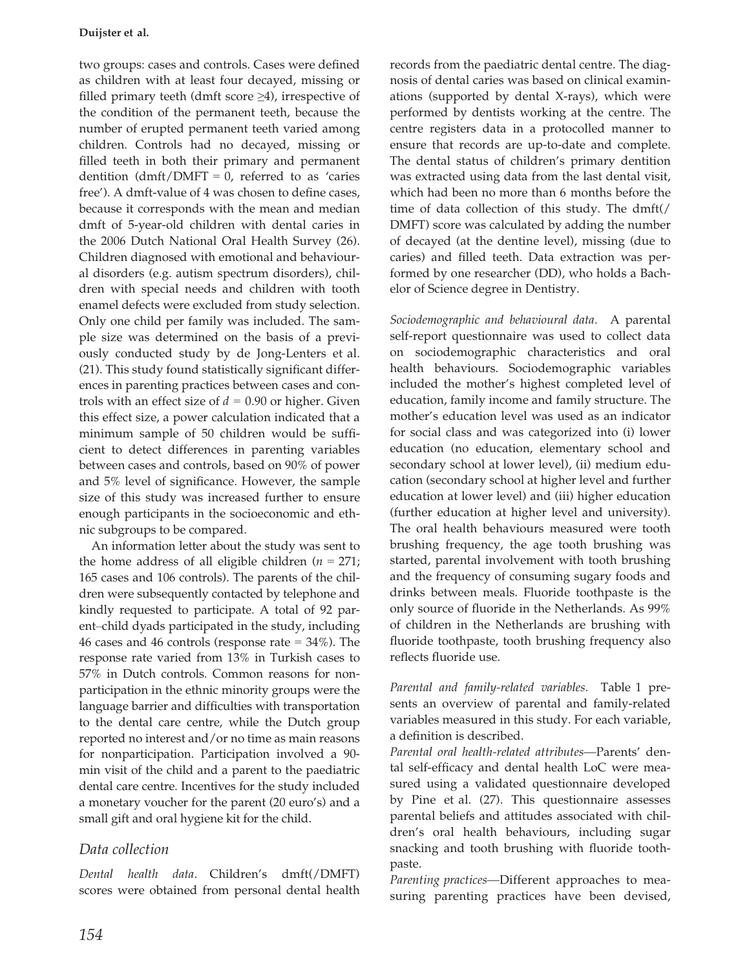two groups: cases and controls. Cases were defined as children with at least four decayed, missing or filled primary teeth (dmft score  $\geq 4$ ), irrespective of the condition of the permanent teeth, because the number of erupted permanent teeth varied among children. Controls had no decayed, missing or filled teeth in both their primary and permanent dentition  $(dmft/DMFT = 0$ , referred to as 'caries free'). A dmft-value of 4 was chosen to define cases, because it corresponds with the mean and median dmft of 5-year-old children with dental caries in the 2006 Dutch National Oral Health Survey (26). Children diagnosed with emotional and behavioural disorders (e.g. autism spectrum disorders), children with special needs and children with tooth enamel defects were excluded from study selection. Only one child per family was included. The sample size was determined on the basis of a previously conducted study by de Jong-Lenters et al. (21). This study found statistically significant differences in parenting practices between cases and controls with an effect size of  $d = 0.90$  or higher. Given this effect size, a power calculation indicated that a minimum sample of 50 children would be sufficient to detect differences in parenting variables between cases and controls, based on 90% of power and 5% level of significance. However, the sample size of this study was increased further to ensure enough participants in the socioeconomic and ethnic subgroups to be compared.

An information letter about the study was sent to the home address of all eligible children ( $n = 271$ ; 165 cases and 106 controls). The parents of the children were subsequently contacted by telephone and kindly requested to participate. A total of 92 parent–child dyads participated in the study, including 46 cases and 46 controls (response rate = 34%). The response rate varied from 13% in Turkish cases to 57% in Dutch controls. Common reasons for nonparticipation in the ethnic minority groups were the language barrier and difficulties with transportation to the dental care centre, while the Dutch group reported no interest and/or no time as main reasons for nonparticipation. Participation involved a 90 min visit of the child and a parent to the paediatric dental care centre. Incentives for the study included a monetary voucher for the parent (20 euro's) and a small gift and oral hygiene kit for the child.

# Data collection

Dental health data. Children's dmft(/DMFT) scores were obtained from personal dental health records from the paediatric dental centre. The diagnosis of dental caries was based on clinical examinations (supported by dental X-rays), which were performed by dentists working at the centre. The centre registers data in a protocolled manner to ensure that records are up-to-date and complete. The dental status of children's primary dentition was extracted using data from the last dental visit, which had been no more than 6 months before the time of data collection of this study. The dmft(/ DMFT) score was calculated by adding the number of decayed (at the dentine level), missing (due to caries) and filled teeth. Data extraction was performed by one researcher (DD), who holds a Bachelor of Science degree in Dentistry.

Sociodemographic and behavioural data. A parental self-report questionnaire was used to collect data on sociodemographic characteristics and oral health behaviours. Sociodemographic variables included the mother's highest completed level of education, family income and family structure. The mother's education level was used as an indicator for social class and was categorized into (i) lower education (no education, elementary school and secondary school at lower level), (ii) medium education (secondary school at higher level and further education at lower level) and (iii) higher education (further education at higher level and university). The oral health behaviours measured were tooth brushing frequency, the age tooth brushing was started, parental involvement with tooth brushing and the frequency of consuming sugary foods and drinks between meals. Fluoride toothpaste is the only source of fluoride in the Netherlands. As 99% of children in the Netherlands are brushing with fluoride toothpaste, tooth brushing frequency also reflects fluoride use.

Parental and family-related variables. Table 1 presents an overview of parental and family-related variables measured in this study. For each variable, a definition is described.

Parental oral health-related attributes—Parents' dental self-efficacy and dental health LoC were measured using a validated questionnaire developed by Pine et al. (27). This questionnaire assesses parental beliefs and attitudes associated with children's oral health behaviours, including sugar snacking and tooth brushing with fluoride toothpaste.

Parenting practices—Different approaches to measuring parenting practices have been devised,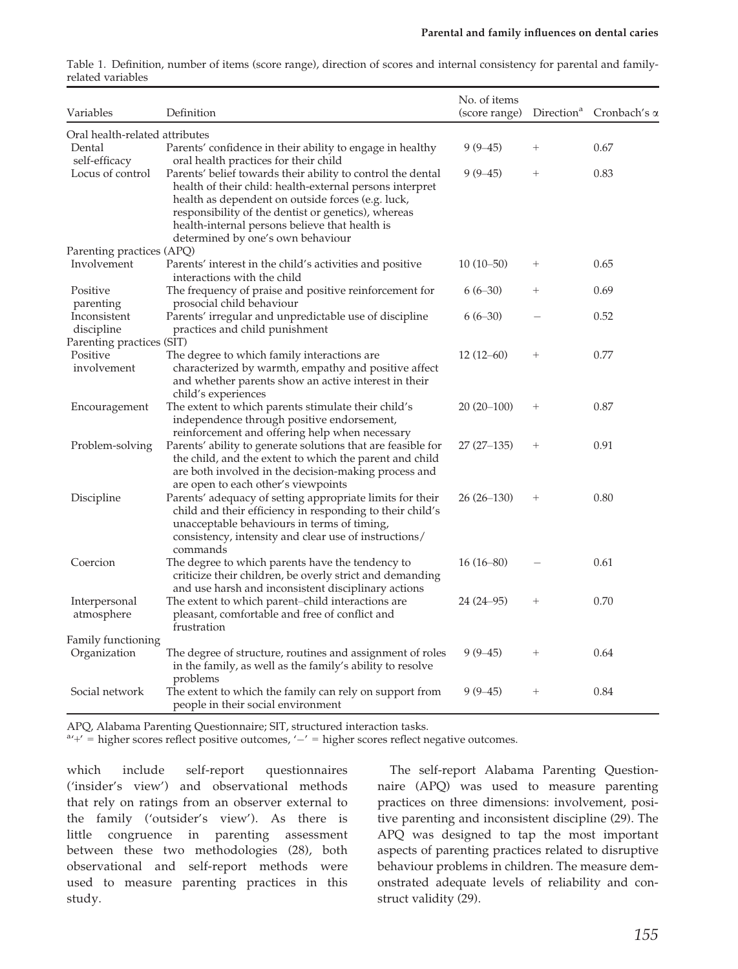| Variables                      | Definition                                                                                                                                                                                                                                                                                                                 | No. of items<br>(score range) | Direction <sup>a</sup> | Cronbach's $\alpha$ |
|--------------------------------|----------------------------------------------------------------------------------------------------------------------------------------------------------------------------------------------------------------------------------------------------------------------------------------------------------------------------|-------------------------------|------------------------|---------------------|
| Oral health-related attributes |                                                                                                                                                                                                                                                                                                                            |                               |                        |                     |
| Dental<br>self-efficacy        | Parents' confidence in their ability to engage in healthy<br>oral health practices for their child                                                                                                                                                                                                                         | $9(9-45)$                     | $^{+}$                 | 0.67                |
| Locus of control               | Parents' belief towards their ability to control the dental<br>health of their child: health-external persons interpret<br>health as dependent on outside forces (e.g. luck,<br>responsibility of the dentist or genetics), whereas<br>health-internal persons believe that health is<br>determined by one's own behaviour | $9(9-45)$                     | $^{+}$                 | 0.83                |
| Parenting practices (APQ)      |                                                                                                                                                                                                                                                                                                                            |                               |                        |                     |
| Involvement                    | Parents' interest in the child's activities and positive<br>interactions with the child                                                                                                                                                                                                                                    | $10(10-50)$                   | $^{+}$                 | 0.65                |
| Positive<br>parenting          | The frequency of praise and positive reinforcement for<br>prosocial child behaviour                                                                                                                                                                                                                                        | $6(6-30)$                     | $^+$                   | 0.69                |
| Inconsistent                   | Parents' irregular and unpredictable use of discipline                                                                                                                                                                                                                                                                     | $6(6-30)$                     |                        | 0.52                |
| discipline                     | practices and child punishment                                                                                                                                                                                                                                                                                             |                               |                        |                     |
| Parenting practices (SIT)      |                                                                                                                                                                                                                                                                                                                            |                               |                        |                     |
| Positive                       | The degree to which family interactions are.                                                                                                                                                                                                                                                                               | $12(12-60)$                   | $^{+}$                 | 0.77                |
| involvement                    | characterized by warmth, empathy and positive affect<br>and whether parents show an active interest in their<br>child's experiences                                                                                                                                                                                        |                               |                        |                     |
| Encouragement                  | The extent to which parents stimulate their child's<br>independence through positive endorsement,<br>reinforcement and offering help when necessary                                                                                                                                                                        | $20(20-100)$                  | $^{+}$                 | 0.87                |
| Problem-solving                | Parents' ability to generate solutions that are feasible for<br>the child, and the extent to which the parent and child<br>are both involved in the decision-making process and<br>are open to each other's viewpoints                                                                                                     | $27(27-135)$                  | $^{+}$                 | 0.91                |
| Discipline                     | Parents' adequacy of setting appropriate limits for their<br>child and their efficiency in responding to their child's<br>unacceptable behaviours in terms of timing,<br>consistency, intensity and clear use of instructions/<br>commands                                                                                 | $26(26-130)$                  | $^{+}$                 | 0.80                |
| Coercion                       | The degree to which parents have the tendency to<br>criticize their children, be overly strict and demanding<br>and use harsh and inconsistent disciplinary actions                                                                                                                                                        | $16(16-80)$                   |                        | 0.61                |
| Interpersonal<br>atmosphere    | The extent to which parent-child interactions are<br>pleasant, comfortable and free of conflict and<br>frustration                                                                                                                                                                                                         | 24 (24–95)                    | $^{+}$                 | 0.70                |
| Family functioning             |                                                                                                                                                                                                                                                                                                                            |                               |                        |                     |
| Organization                   | The degree of structure, routines and assignment of roles<br>in the family, as well as the family's ability to resolve<br>problems                                                                                                                                                                                         | $9(9-45)$                     | $^{+}$                 | 0.64                |
| Social network                 | The extent to which the family can rely on support from<br>people in their social environment                                                                                                                                                                                                                              | $9(9-45)$                     | $^{+}$                 | 0.84                |

Table 1. Definition, number of items (score range), direction of scores and internal consistency for parental and familyrelated variables

APQ, Alabama Parenting Questionnaire; SIT, structured interaction tasks.

 $a_{+}'$  = higher scores reflect positive outcomes,  $\prime$  - $'$  = higher scores reflect negative outcomes.

which include self-report questionnaires ('insider's view') and observational methods that rely on ratings from an observer external to the family ('outsider's view'). As there is little congruence in parenting assessment between these two methodologies (28), both observational and self-report methods were used to measure parenting practices in this study.

The self-report Alabama Parenting Questionnaire (APQ) was used to measure parenting practices on three dimensions: involvement, positive parenting and inconsistent discipline (29). The APQ was designed to tap the most important aspects of parenting practices related to disruptive behaviour problems in children. The measure demonstrated adequate levels of reliability and construct validity (29).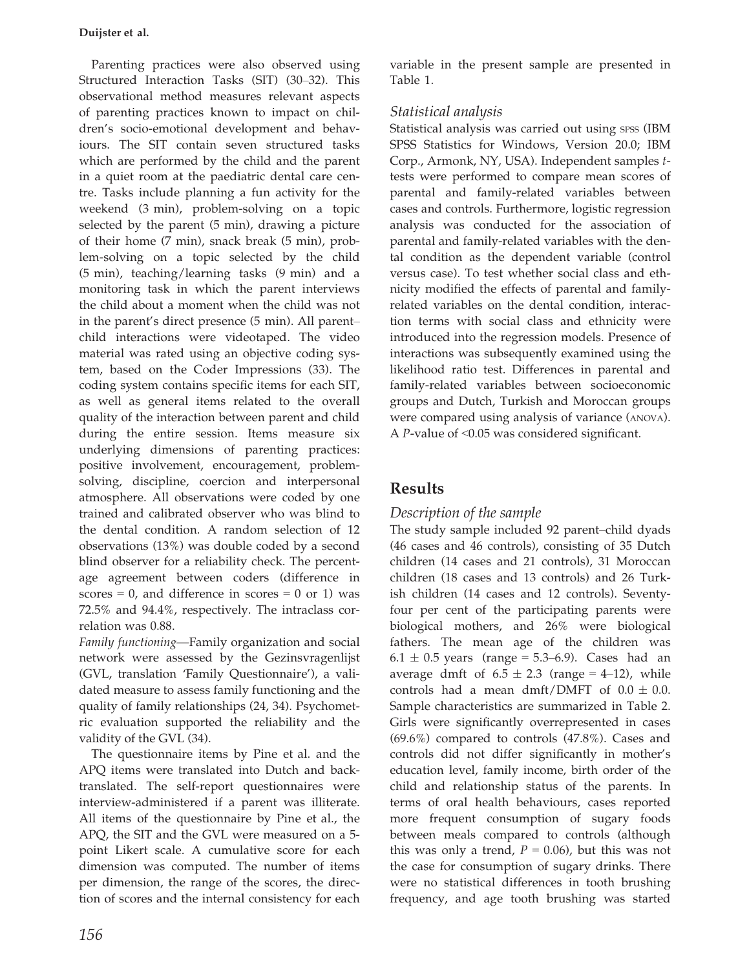Parenting practices were also observed using Structured Interaction Tasks (SIT) (30–32). This observational method measures relevant aspects of parenting practices known to impact on children's socio-emotional development and behaviours. The SIT contain seven structured tasks which are performed by the child and the parent in a quiet room at the paediatric dental care centre. Tasks include planning a fun activity for the weekend (3 min), problem-solving on a topic selected by the parent (5 min), drawing a picture of their home (7 min), snack break (5 min), problem-solving on a topic selected by the child (5 min), teaching/learning tasks (9 min) and a monitoring task in which the parent interviews the child about a moment when the child was not in the parent's direct presence (5 min). All parent– child interactions were videotaped. The video material was rated using an objective coding system, based on the Coder Impressions (33). The coding system contains specific items for each SIT, as well as general items related to the overall quality of the interaction between parent and child during the entire session. Items measure six underlying dimensions of parenting practices: positive involvement, encouragement, problemsolving, discipline, coercion and interpersonal atmosphere. All observations were coded by one trained and calibrated observer who was blind to the dental condition. A random selection of 12 observations (13%) was double coded by a second blind observer for a reliability check. The percentage agreement between coders (difference in scores  $= 0$ , and difference in scores  $= 0$  or 1) was 72.5% and 94.4%, respectively. The intraclass correlation was 0.88.

Family functioning—Family organization and social network were assessed by the Gezinsvragenlijst (GVL, translation 'Family Questionnaire'), a validated measure to assess family functioning and the quality of family relationships (24, 34). Psychometric evaluation supported the reliability and the validity of the GVL (34).

The questionnaire items by Pine et al. and the APQ items were translated into Dutch and backtranslated. The self-report questionnaires were interview-administered if a parent was illiterate. All items of the questionnaire by Pine et al., the APQ, the SIT and the GVL were measured on a 5 point Likert scale. A cumulative score for each dimension was computed. The number of items per dimension, the range of the scores, the direction of scores and the internal consistency for each

variable in the present sample are presented in Table 1.

# Statistical analysis

Statistical analysis was carried out using SPSS (IBM SPSS Statistics for Windows, Version 20.0; IBM Corp., Armonk, NY, USA). Independent samples ttests were performed to compare mean scores of parental and family-related variables between cases and controls. Furthermore, logistic regression analysis was conducted for the association of parental and family-related variables with the dental condition as the dependent variable (control versus case). To test whether social class and ethnicity modified the effects of parental and familyrelated variables on the dental condition, interaction terms with social class and ethnicity were introduced into the regression models. Presence of interactions was subsequently examined using the likelihood ratio test. Differences in parental and family-related variables between socioeconomic groups and Dutch, Turkish and Moroccan groups were compared using analysis of variance (ANOVA). A P-value of <0.05 was considered significant.

# Results

## Description of the sample

The study sample included 92 parent–child dyads (46 cases and 46 controls), consisting of 35 Dutch children (14 cases and 21 controls), 31 Moroccan children (18 cases and 13 controls) and 26 Turkish children (14 cases and 12 controls). Seventyfour per cent of the participating parents were biological mothers, and 26% were biological fathers. The mean age of the children was  $6.1 \pm 0.5$  years (range = 5.3–6.9). Cases had an average dmft of  $6.5 \pm 2.3$  (range = 4–12), while controls had a mean dmft/DMFT of  $0.0 \pm 0.0$ . Sample characteristics are summarized in Table 2. Girls were significantly overrepresented in cases (69.6%) compared to controls (47.8%). Cases and controls did not differ significantly in mother's education level, family income, birth order of the child and relationship status of the parents. In terms of oral health behaviours, cases reported more frequent consumption of sugary foods between meals compared to controls (although this was only a trend,  $P = 0.06$ ), but this was not the case for consumption of sugary drinks. There were no statistical differences in tooth brushing frequency, and age tooth brushing was started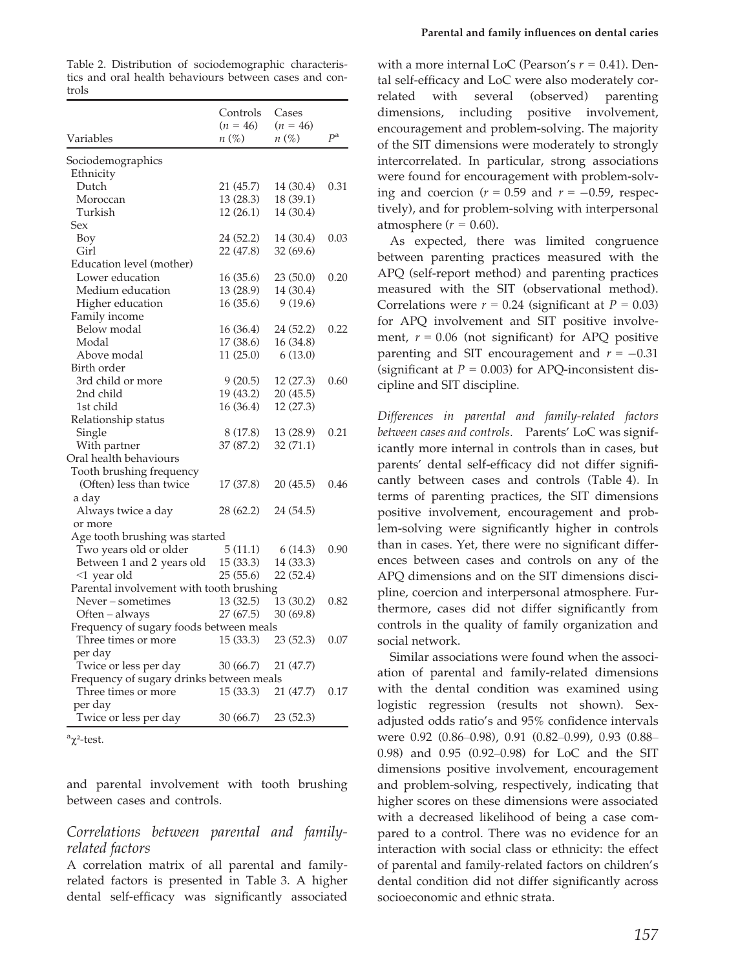| Variables                                | Controls<br>$(n = 46)$<br>$n(\%)$ | Cases<br>$(n = 46)$<br>n (%) | pa   |
|------------------------------------------|-----------------------------------|------------------------------|------|
| Sociodemographics                        |                                   |                              |      |
| Ethnicity                                |                                   |                              |      |
| Dutch                                    | 21 (45.7)                         | 14 (30.4)                    | 0.31 |
| Moroccan                                 | 13 (28.3)                         | 18 (39.1)                    |      |
| Turkish                                  | 12 (26.1)                         | 14 (30.4)                    |      |
| Sex                                      |                                   |                              |      |
| Boy                                      | 24 (52.2)                         | 14 (30.4)                    | 0.03 |
| Girl                                     | 22 (47.8)                         | 32 (69.6)                    |      |
| Education level (mother)                 |                                   |                              |      |
| Lower education                          | 16(35.6)                          | 23 (50.0)                    | 0.20 |
| Medium education                         | 13 (28.9)                         | 14 (30.4)                    |      |
| Higher education                         | 16(35.6)                          | 9(19.6)                      |      |
| Family income                            |                                   |                              |      |
| Below modal                              | 16 (36.4)                         | 24 (52.2)                    | 0.22 |
| Modal                                    | 17 (38.6)                         | 16 (34.8)                    |      |
| Above modal                              | 11(25.0)                          | 6(13.0)                      |      |
| Birth order                              |                                   |                              |      |
| 3rd child or more                        | 9(20.5)                           | 12 (27.3)                    | 0.60 |
| 2nd child                                | 19 (43.2)                         | 20 (45.5)                    |      |
| 1st child                                | 16 (36.4)                         | 12 (27.3)                    |      |
| Relationship status                      |                                   |                              |      |
| Single                                   | 8 (17.8)                          | 13 (28.9)                    | 0.21 |
| With partner                             | 37 (87.2)                         | 32 (71.1)                    |      |
| Oral health behaviours                   |                                   |                              |      |
| Tooth brushing frequency                 |                                   |                              |      |
| (Often) less than twice                  | 17 (37.8)                         | 20 (45.5)                    | 0.46 |
| a day                                    |                                   |                              |      |
| Always twice a day                       | 28 (62.2)                         | 24 (54.5)                    |      |
| or more                                  |                                   |                              |      |
| Age tooth brushing was started           |                                   |                              |      |
| Two years old or older                   | 5(11.1)                           | 6 (14.3)                     | 0.90 |
| Between 1 and 2 years old                | 15 (33.3)                         | 14 (33.3)                    |      |
| <1 year old                              | 25(55.6)                          | 22 (52.4)                    |      |
| Parental involvement with tooth brushing |                                   |                              |      |
| Never – sometimes                        | 13 (32.5)                         | 13 (30.2)                    | 0.82 |
| Often – always                           | 27 (67.5)                         | 30 (69.8)                    |      |
| Frequency of sugary foods between meals  |                                   |                              |      |
| Three times or more                      | 15(33.3)                          | 23 (52.3)                    | 0.07 |
| per day                                  |                                   |                              |      |
| Twice or less per day                    | 30 (66.7)                         | 21 (47.7)                    |      |
| Frequency of sugary drinks between meals |                                   |                              |      |
| Three times or more                      | 15(33.3)                          | 21 (47.7)                    | 0.17 |
| per day                                  |                                   |                              |      |
| Twice or less per day                    | 30 (66.7)                         | 23 (52.3)                    |      |
|                                          |                                   |                              |      |

Table 2. Distribution of sociodemographic characteristics and oral health behaviours between cases and con-

trols

 $\alpha^2$ -test.

and parental involvement with tooth brushing between cases and controls.

## Correlations between parental and familyrelated factors

A correlation matrix of all parental and familyrelated factors is presented in Table 3. A higher dental self-efficacy was significantly associated

with a more internal LoC (Pearson's  $r = 0.41$ ). Dental self-efficacy and LoC were also moderately correlated with several (observed) parenting dimensions, including positive involvement, encouragement and problem-solving. The majority of the SIT dimensions were moderately to strongly intercorrelated. In particular, strong associations were found for encouragement with problem-solving and coercion ( $r = 0.59$  and  $r = -0.59$ , respectively), and for problem-solving with interpersonal atmosphere ( $r = 0.60$ ).

As expected, there was limited congruence between parenting practices measured with the APQ (self-report method) and parenting practices measured with the SIT (observational method). Correlations were  $r = 0.24$  (significant at  $P = 0.03$ ) for APQ involvement and SIT positive involvement,  $r = 0.06$  (not significant) for APQ positive parenting and SIT encouragement and  $r = -0.31$ (significant at  $P = 0.003$ ) for APQ-inconsistent discipline and SIT discipline.

Differences in parental and family-related factors between cases and controls. Parents' LoC was significantly more internal in controls than in cases, but parents' dental self-efficacy did not differ significantly between cases and controls (Table 4). In terms of parenting practices, the SIT dimensions positive involvement, encouragement and problem-solving were significantly higher in controls than in cases. Yet, there were no significant differences between cases and controls on any of the APQ dimensions and on the SIT dimensions discipline, coercion and interpersonal atmosphere. Furthermore, cases did not differ significantly from controls in the quality of family organization and social network.

Similar associations were found when the association of parental and family-related dimensions with the dental condition was examined using logistic regression (results not shown). Sexadjusted odds ratio's and 95% confidence intervals were 0.92 (0.86–0.98), 0.91 (0.82–0.99), 0.93 (0.88– 0.98) and 0.95 (0.92–0.98) for LoC and the SIT dimensions positive involvement, encouragement and problem-solving, respectively, indicating that higher scores on these dimensions were associated with a decreased likelihood of being a case compared to a control. There was no evidence for an interaction with social class or ethnicity: the effect of parental and family-related factors on children's dental condition did not differ significantly across socioeconomic and ethnic strata.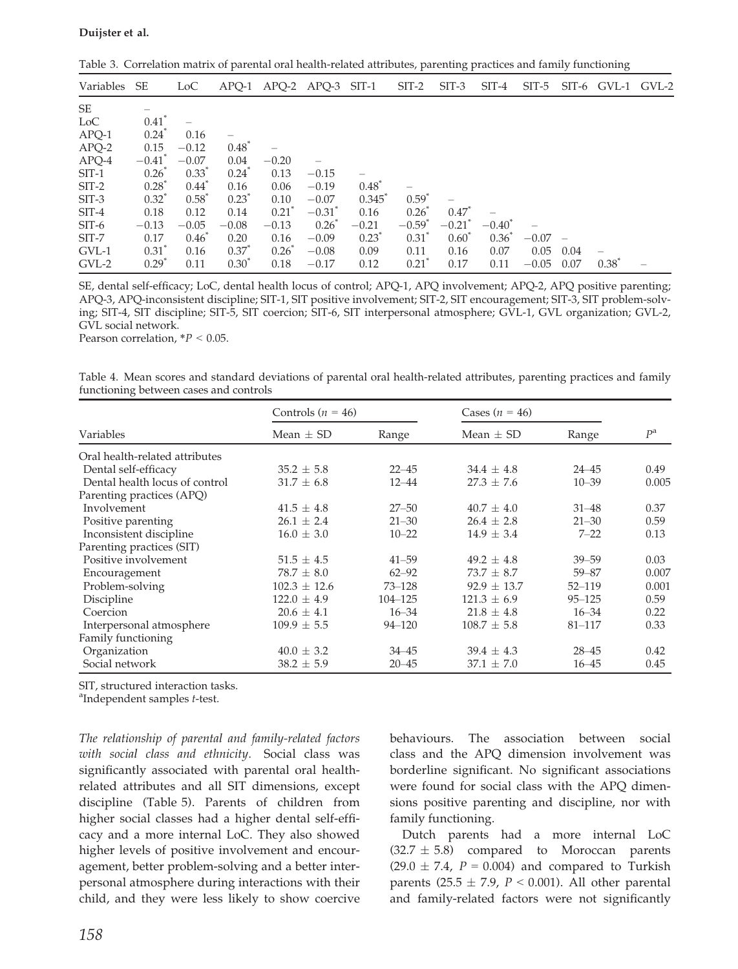#### Duijster et al.

Table 3. Correlation matrix of parental oral health-related attributes, parenting practices and family functioning

| Variables SE |                      | LoC              |                  | APQ-1 APQ-2 APQ-3 SIT-1 |                      |                   | $SIT-2$             | $SIT-3$              | $SIT-4$           | $SIT-5$ |      | SIT-6 GVL-1 GVL-2 |  |
|--------------|----------------------|------------------|------------------|-------------------------|----------------------|-------------------|---------------------|----------------------|-------------------|---------|------|-------------------|--|
| <b>SE</b>    |                      |                  |                  |                         |                      |                   |                     |                      |                   |         |      |                   |  |
| LoC          | $0.41$ <sup>*</sup>  |                  |                  |                         |                      |                   |                     |                      |                   |         |      |                   |  |
| $APQ-1$      | $0.24$ <sup>*</sup>  | 0.16             |                  |                         |                      |                   |                     |                      |                   |         |      |                   |  |
| $APQ-2$      | 0.15                 | $-0.12$          | $0.48^{\degree}$ |                         |                      |                   |                     |                      |                   |         |      |                   |  |
| APQ-4        | $-0.41$ <sup>*</sup> | $-0.07$          | 0.04             | $-0.20$                 |                      |                   |                     |                      |                   |         |      |                   |  |
| $SIT-1$      | $0.26^*$             | $0.33^{\degree}$ | $0.24^{\degree}$ | 0.13                    | $-0.15$              |                   |                     |                      |                   |         |      |                   |  |
| $SIT-2$      | $0.28^{*}$           | $0.44^{\degree}$ | 0.16             | 0.06                    | $-0.19$              | $0.48^{\circ}$    |                     |                      |                   |         |      |                   |  |
| $SIT-3$      | $0.32^*$             | $0.58^{\degree}$ | $0.23^{r}$       | 0.10                    | $-0.07$              | $0.345^{\degree}$ | $0.59$ <sup>*</sup> |                      |                   |         |      |                   |  |
| $SIT-4$      | 0.18                 | 0.12             | 0.14             | $0.21$ <sup>*</sup>     | $-0.31$ <sup>*</sup> | 0.16              | $0.26^*$            | $0.47^{\degree}$     |                   |         |      |                   |  |
| $SIT-6$      | $-0.13$              | $-0.05$          | $-0.08$          | $-0.13$                 | $0.26^{\degree}$     | $-0.21$           | $-0.59^{r}$         | $-0.21$ <sup>*</sup> | $-0.40^{\degree}$ |         |      |                   |  |
| $SIT-7$      | 0.17                 | $0.46^{\degree}$ | 0.20             | 0.16                    | $-0.09$              | $0.23^{\degree}$  | $0.31$ <sup>*</sup> | $0.60^*$             | $0.36^*$          | $-0.07$ |      |                   |  |
| $GVL-1$      | $0.31$ <sup>*</sup>  | 0.16             | $0.37^{^{n}}$    | $0.26^*$                | $-0.08$              | 0.09              | 0.11                | 0.16                 | 0.07              | 0.05    | 0.04 |                   |  |
| GVL-2        | $0.29*$              | 0.11             | $0.30^*$         | 0.18                    | $-0.17$              | 0.12              | $0.21$ <sup>*</sup> | 0.17                 | 0.11              | $-0.05$ | 0.07 | $0.38^{^{\circ}}$ |  |

SE, dental self-efficacy; LoC, dental health locus of control; APQ-1, APQ involvement; APQ-2, APQ positive parenting; APQ-3, APQ-inconsistent discipline; SIT-1, SIT positive involvement; SIT-2, SIT encouragement; SIT-3, SIT problem-solving; SIT-4, SIT discipline; SIT-5, SIT coercion; SIT-6, SIT interpersonal atmosphere; GVL-1, GVL organization; GVL-2, GVL social network.

Pearson correlation,  $*P < 0.05$ .

Table 4. Mean scores and standard deviations of parental oral health-related attributes, parenting practices and family functioning between cases and controls

|                                | Controls ( $n = 46$ ) |             | Cases $(n = 46)$ |            |       |  |
|--------------------------------|-----------------------|-------------|------------------|------------|-------|--|
| Variables                      | Mean $\pm$ SD         | Range       | Mean $\pm$ SD    | Range      | $P^a$ |  |
| Oral health-related attributes |                       |             |                  |            |       |  |
| Dental self-efficacy           | $35.2 \pm 5.8$        | $22 - 45$   | $34.4 + 4.8$     | $24 - 45$  | 0.49  |  |
| Dental health locus of control | $31.7 \pm 6.8$        | $12 - 44$   | $27.3 \pm 7.6$   | $10 - 39$  | 0.005 |  |
| Parenting practices (APQ)      |                       |             |                  |            |       |  |
| Involvement                    | $41.5 \pm 4.8$        | $27 - 50$   | $40.7 + 4.0$     | $31 - 48$  | 0.37  |  |
| Positive parenting             | $26.1 \pm 2.4$        | $21 - 30$   | $26.4 \pm 2.8$   | $21 - 30$  | 0.59  |  |
| Inconsistent discipline        | $16.0 \pm 3.0$        | $10 - 22$   | $14.9 \pm 3.4$   | $7 - 22$   | 0.13  |  |
| Parenting practices (SIT)      |                       |             |                  |            |       |  |
| Positive involvement           | $51.5 \pm 4.5$        | $41 - 59$   | $49.2 + 4.8$     | $39 - 59$  | 0.03  |  |
| Encouragement                  | $78.7 \pm 8.0$        | $62 - 92$   | $73.7 \pm 8.7$   | 59-87      | 0.007 |  |
| Problem-solving                | $102.3 \pm 12.6$      | $73 - 128$  | $92.9 + 13.7$    | $52 - 119$ | 0.001 |  |
| Discipline                     | $122.0 \pm 4.9$       | $104 - 125$ | $121.3 \pm 6.9$  | $95 - 125$ | 0.59  |  |
| Coercion                       | $20.6 \pm 4.1$        | $16 - 34$   | $21.8 \pm 4.8$   | $16 - 34$  | 0.22  |  |
| Interpersonal atmosphere       | $109.9 \pm 5.5$       | $94 - 120$  | $108.7 \pm 5.8$  | $81 - 117$ | 0.33  |  |
| Family functioning             |                       |             |                  |            |       |  |
| Organization                   | $40.0 \pm 3.2$        | 34 - 45     | $39.4 \pm 4.3$   | $28 - 45$  | 0.42  |  |
| Social network                 | $38.2 \pm 5.9$        | $20 - 45$   | $37.1 \pm 7.0$   | $16 - 45$  | 0.45  |  |

SIT, structured interaction tasks.

<sup>a</sup>Independent samples t-test.

The relationship of parental and family-related factors with social class and ethnicity. Social class was significantly associated with parental oral healthrelated attributes and all SIT dimensions, except discipline (Table 5). Parents of children from higher social classes had a higher dental self-efficacy and a more internal LoC. They also showed higher levels of positive involvement and encouragement, better problem-solving and a better interpersonal atmosphere during interactions with their child, and they were less likely to show coercive behaviours. The association between social class and the APQ dimension involvement was borderline significant. No significant associations were found for social class with the APQ dimensions positive parenting and discipline, nor with family functioning.

Dutch parents had a more internal LoC  $(32.7 \pm 5.8)$  compared to Moroccan parents  $(29.0 \pm 7.4, P = 0.004)$  and compared to Turkish parents (25.5  $\pm$  7.9, P < 0.001). All other parental and family-related factors were not significantly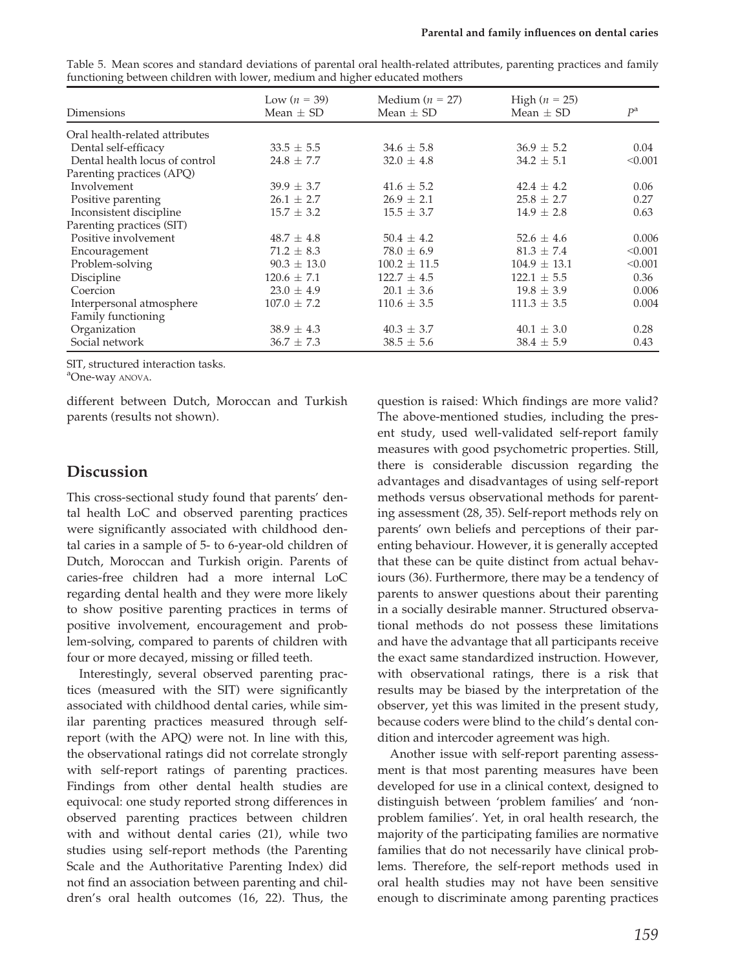|                                | Low $(n = 39)$  | Medium $(n = 27)$ | High $(n = 25)$  |         |
|--------------------------------|-----------------|-------------------|------------------|---------|
| Dimensions                     | Mean $\pm$ SD   | Mean $\pm$ SD     | Mean $\pm$ SD    | $P^a$   |
| Oral health-related attributes |                 |                   |                  |         |
| Dental self-efficacy           | $33.5 \pm 5.5$  | $34.6 \pm 5.8$    | $36.9 \pm 5.2$   | 0.04    |
| Dental health locus of control | $24.8 \pm 7.7$  | $32.0 \pm 4.8$    | $34.2 \pm 5.1$   | < 0.001 |
| Parenting practices (APQ)      |                 |                   |                  |         |
| Involvement                    | $39.9 \pm 3.7$  | $41.6 \pm 5.2$    | $42.4 \pm 4.2$   | 0.06    |
| Positive parenting             | $26.1 \pm 2.7$  | $26.9 \pm 2.1$    | $25.8 \pm 2.7$   | 0.27    |
| Inconsistent discipline        | $15.7 \pm 3.2$  | $15.5 \pm 3.7$    | $14.9 \pm 2.8$   | 0.63    |
| Parenting practices (SIT)      |                 |                   |                  |         |
| Positive involvement           | $48.7 \pm 4.8$  | $50.4 \pm 4.2$    | 52.6 $\pm$ 4.6   | 0.006   |
| Encouragement                  | $71.2 \pm 8.3$  | $78.0 \pm 6.9$    | $81.3 \pm 7.4$   | < 0.001 |
| Problem-solving                | $90.3 \pm 13.0$ | $100.2 \pm 11.5$  | $104.9 \pm 13.1$ | < 0.001 |
| Discipline                     | $120.6 \pm 7.1$ | $122.7 \pm 4.5$   | $122.1 \pm 5.5$  | 0.36    |
| Coercion                       | $23.0 \pm 4.9$  | $20.1 \pm 3.6$    | $19.8 \pm 3.9$   | 0.006   |
| Interpersonal atmosphere       | $107.0 \pm 7.2$ | $110.6 \pm 3.5$   | $111.3 \pm 3.5$  | 0.004   |
| Family functioning             |                 |                   |                  |         |
| Organization                   | $38.9 \pm 4.3$  | $40.3 \pm 3.7$    | $40.1 \pm 3.0$   | 0.28    |
| Social network                 | $36.7 \pm 7.3$  | $38.5 \pm 5.6$    | $38.4 \pm 5.9$   | 0.43    |

Table 5. Mean scores and standard deviations of parental oral health-related attributes, parenting practices and family functioning between children with lower, medium and higher educated mothers

SIT, structured interaction tasks.

<sup>a</sup>One-way ANOVA.

different between Dutch, Moroccan and Turkish parents (results not shown).

# Discussion

This cross-sectional study found that parents' dental health LoC and observed parenting practices were significantly associated with childhood dental caries in a sample of 5- to 6-year-old children of Dutch, Moroccan and Turkish origin. Parents of caries-free children had a more internal LoC regarding dental health and they were more likely to show positive parenting practices in terms of positive involvement, encouragement and problem-solving, compared to parents of children with four or more decayed, missing or filled teeth.

Interestingly, several observed parenting practices (measured with the SIT) were significantly associated with childhood dental caries, while similar parenting practices measured through selfreport (with the APQ) were not. In line with this, the observational ratings did not correlate strongly with self-report ratings of parenting practices. Findings from other dental health studies are equivocal: one study reported strong differences in observed parenting practices between children with and without dental caries (21), while two studies using self-report methods (the Parenting Scale and the Authoritative Parenting Index) did not find an association between parenting and children's oral health outcomes (16, 22). Thus, the

question is raised: Which findings are more valid? The above-mentioned studies, including the present study, used well-validated self-report family measures with good psychometric properties. Still, there is considerable discussion regarding the advantages and disadvantages of using self-report methods versus observational methods for parenting assessment (28, 35). Self-report methods rely on parents' own beliefs and perceptions of their parenting behaviour. However, it is generally accepted that these can be quite distinct from actual behaviours (36). Furthermore, there may be a tendency of parents to answer questions about their parenting in a socially desirable manner. Structured observational methods do not possess these limitations and have the advantage that all participants receive the exact same standardized instruction. However, with observational ratings, there is a risk that results may be biased by the interpretation of the observer, yet this was limited in the present study, because coders were blind to the child's dental condition and intercoder agreement was high.

Another issue with self-report parenting assessment is that most parenting measures have been developed for use in a clinical context, designed to distinguish between 'problem families' and 'nonproblem families'. Yet, in oral health research, the majority of the participating families are normative families that do not necessarily have clinical problems. Therefore, the self-report methods used in oral health studies may not have been sensitive enough to discriminate among parenting practices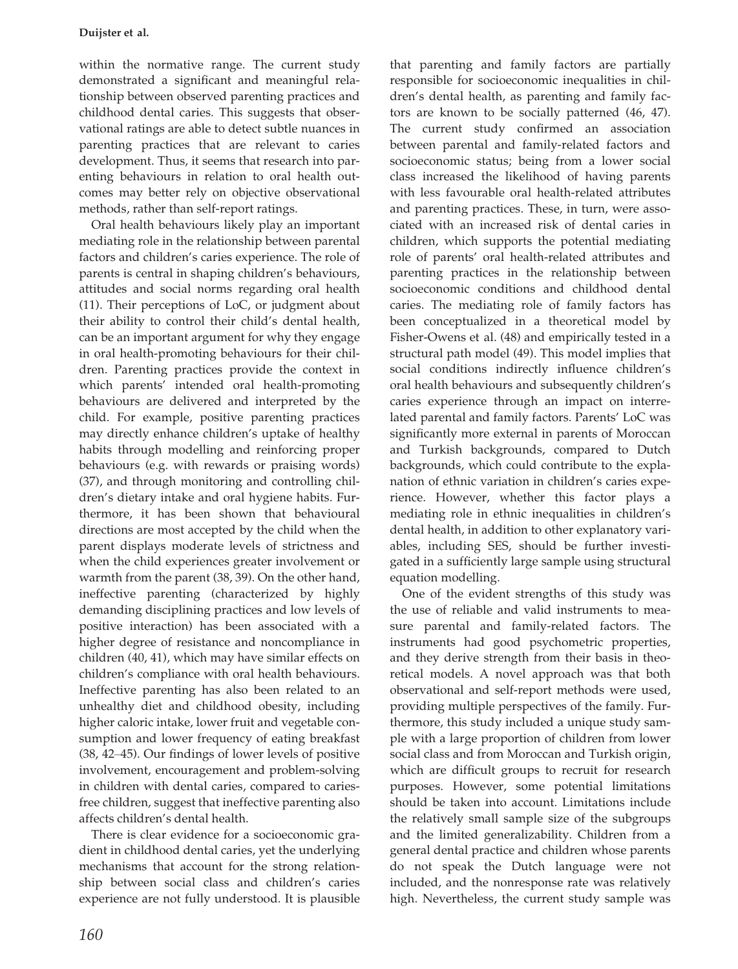within the normative range. The current study demonstrated a significant and meaningful relationship between observed parenting practices and childhood dental caries. This suggests that observational ratings are able to detect subtle nuances in parenting practices that are relevant to caries development. Thus, it seems that research into parenting behaviours in relation to oral health outcomes may better rely on objective observational methods, rather than self-report ratings.

Oral health behaviours likely play an important mediating role in the relationship between parental factors and children's caries experience. The role of parents is central in shaping children's behaviours, attitudes and social norms regarding oral health (11). Their perceptions of LoC, or judgment about their ability to control their child's dental health, can be an important argument for why they engage in oral health-promoting behaviours for their children. Parenting practices provide the context in which parents' intended oral health-promoting behaviours are delivered and interpreted by the child. For example, positive parenting practices may directly enhance children's uptake of healthy habits through modelling and reinforcing proper behaviours (e.g. with rewards or praising words) (37), and through monitoring and controlling children's dietary intake and oral hygiene habits. Furthermore, it has been shown that behavioural directions are most accepted by the child when the parent displays moderate levels of strictness and when the child experiences greater involvement or warmth from the parent (38, 39). On the other hand, ineffective parenting (characterized by highly demanding disciplining practices and low levels of positive interaction) has been associated with a higher degree of resistance and noncompliance in children (40, 41), which may have similar effects on children's compliance with oral health behaviours. Ineffective parenting has also been related to an unhealthy diet and childhood obesity, including higher caloric intake, lower fruit and vegetable consumption and lower frequency of eating breakfast (38, 42–45). Our findings of lower levels of positive involvement, encouragement and problem-solving in children with dental caries, compared to cariesfree children, suggest that ineffective parenting also affects children's dental health.

There is clear evidence for a socioeconomic gradient in childhood dental caries, yet the underlying mechanisms that account for the strong relationship between social class and children's caries experience are not fully understood. It is plausible

that parenting and family factors are partially responsible for socioeconomic inequalities in children's dental health, as parenting and family factors are known to be socially patterned (46, 47). The current study confirmed an association between parental and family-related factors and socioeconomic status; being from a lower social class increased the likelihood of having parents with less favourable oral health-related attributes and parenting practices. These, in turn, were associated with an increased risk of dental caries in children, which supports the potential mediating role of parents' oral health-related attributes and parenting practices in the relationship between socioeconomic conditions and childhood dental caries. The mediating role of family factors has been conceptualized in a theoretical model by Fisher-Owens et al. (48) and empirically tested in a structural path model (49). This model implies that social conditions indirectly influence children's oral health behaviours and subsequently children's caries experience through an impact on interrelated parental and family factors. Parents' LoC was significantly more external in parents of Moroccan and Turkish backgrounds, compared to Dutch backgrounds, which could contribute to the explanation of ethnic variation in children's caries experience. However, whether this factor plays a mediating role in ethnic inequalities in children's dental health, in addition to other explanatory variables, including SES, should be further investigated in a sufficiently large sample using structural equation modelling.

One of the evident strengths of this study was the use of reliable and valid instruments to measure parental and family-related factors. The instruments had good psychometric properties, and they derive strength from their basis in theoretical models. A novel approach was that both observational and self-report methods were used, providing multiple perspectives of the family. Furthermore, this study included a unique study sample with a large proportion of children from lower social class and from Moroccan and Turkish origin, which are difficult groups to recruit for research purposes. However, some potential limitations should be taken into account. Limitations include the relatively small sample size of the subgroups and the limited generalizability. Children from a general dental practice and children whose parents do not speak the Dutch language were not included, and the nonresponse rate was relatively high. Nevertheless, the current study sample was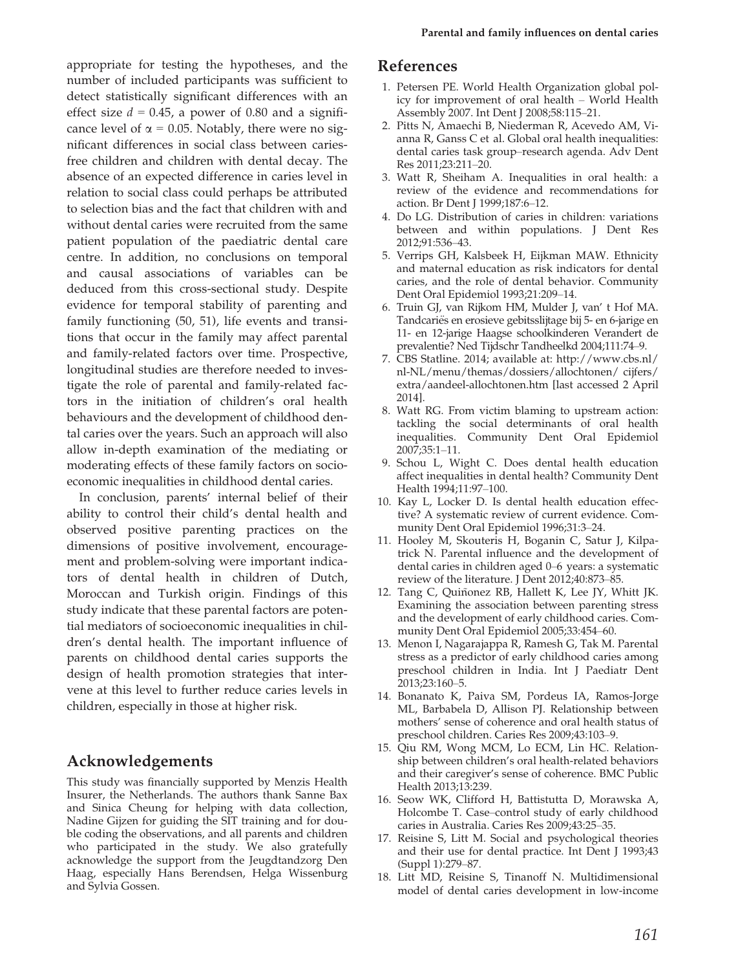appropriate for testing the hypotheses, and the number of included participants was sufficient to detect statistically significant differences with an effect size  $d = 0.45$ , a power of 0.80 and a significance level of  $\alpha$  = 0.05. Notably, there were no significant differences in social class between cariesfree children and children with dental decay. The absence of an expected difference in caries level in relation to social class could perhaps be attributed to selection bias and the fact that children with and without dental caries were recruited from the same patient population of the paediatric dental care centre. In addition, no conclusions on temporal and causal associations of variables can be deduced from this cross-sectional study. Despite evidence for temporal stability of parenting and family functioning (50, 51), life events and transitions that occur in the family may affect parental and family-related factors over time. Prospective, longitudinal studies are therefore needed to investigate the role of parental and family-related factors in the initiation of children's oral health behaviours and the development of childhood dental caries over the years. Such an approach will also allow in-depth examination of the mediating or moderating effects of these family factors on socioeconomic inequalities in childhood dental caries.

In conclusion, parents' internal belief of their ability to control their child's dental health and observed positive parenting practices on the dimensions of positive involvement, encouragement and problem-solving were important indicators of dental health in children of Dutch, Moroccan and Turkish origin. Findings of this study indicate that these parental factors are potential mediators of socioeconomic inequalities in children's dental health. The important influence of parents on childhood dental caries supports the design of health promotion strategies that intervene at this level to further reduce caries levels in children, especially in those at higher risk.

# Acknowledgements

This study was financially supported by Menzis Health Insurer, the Netherlands. The authors thank Sanne Bax and Sinica Cheung for helping with data collection, Nadine Gijzen for guiding the SIT training and for double coding the observations, and all parents and children who participated in the study. We also gratefully acknowledge the support from the Jeugdtandzorg Den Haag, especially Hans Berendsen, Helga Wissenburg and Sylvia Gossen.

# References

- 1. Petersen PE. World Health Organization global policy for improvement of oral health – World Health Assembly 2007. Int Dent J 2008;58:115–21.
- 2. Pitts N, Amaechi B, Niederman R, Acevedo AM, Vianna R, Ganss C et al. Global oral health inequalities: dental caries task group–research agenda. Adv Dent Res 2011;23:211–20.
- 3. Watt R, Sheiham A. Inequalities in oral health: a review of the evidence and recommendations for action. Br Dent J 1999;187:6–12.
- 4. Do LG. Distribution of caries in children: variations between and within populations. J Dent Res 2012;91:536–43.
- 5. Verrips GH, Kalsbeek H, Eijkman MAW. Ethnicity and maternal education as risk indicators for dental caries, and the role of dental behavior. Community Dent Oral Epidemiol 1993;21:209–14.
- 6. Truin GJ, van Rijkom HM, Mulder J, van' t Hof MA. Tandcariës en erosieve gebitsslijtage bij 5- en 6-jarige en 11- en 12-jarige Haagse schoolkinderen Verandert de prevalentie? Ned Tijdschr Tandheelkd 2004;111:74–9.
- 7. CBS Statline. 2014; available at: [http://www.cbs.nl/](http://www.cbs.nl/nl-NL/menu/themas/dossiers/allochtonen/) [nl-NL/menu/themas/dossiers/allochtonen/](http://www.cbs.nl/nl-NL/menu/themas/dossiers/allochtonen/) cijfers/ extra/aandeel-allochtonen.htm [last accessed 2 April 2014].
- 8. Watt RG. From victim blaming to upstream action: tackling the social determinants of oral health inequalities. Community Dent Oral Epidemiol 2007;35:1–11.
- 9. Schou L, Wight C. Does dental health education affect inequalities in dental health? Community Dent Health 1994;11:97–100.
- 10. Kay L, Locker D. Is dental health education effective? A systematic review of current evidence. Community Dent Oral Epidemiol 1996;31:3–24.
- 11. Hooley M, Skouteris H, Boganin C, Satur J, Kilpatrick N. Parental influence and the development of dental caries in children aged 0–6 years: a systematic review of the literature. J Dent 2012;40:873–85.
- 12. Tang C, Quiñonez RB, Hallett K, Lee JY, Whitt JK. Examining the association between parenting stress and the development of early childhood caries. Community Dent Oral Epidemiol 2005;33:454–60.
- 13. Menon I, Nagarajappa R, Ramesh G, Tak M. Parental stress as a predictor of early childhood caries among preschool children in India. Int J Paediatr Dent 2013;23:160–5.
- 14. Bonanato K, Paiva SM, Pordeus IA, Ramos-Jorge ML, Barbabela D, Allison PJ. Relationship between mothers' sense of coherence and oral health status of preschool children. Caries Res 2009;43:103–9.
- 15. Qiu RM, Wong MCM, Lo ECM, Lin HC. Relationship between children's oral health-related behaviors and their caregiver's sense of coherence. BMC Public Health 2013;13:239.
- 16. Seow WK, Clifford H, Battistutta D, Morawska A, Holcombe T. Case–control study of early childhood caries in Australia. Caries Res 2009;43:25–35.
- 17. Reisine S, Litt M. Social and psychological theories and their use for dental practice. Int Dent J 1993;43 (Suppl 1):279–87.
- 18. Litt MD, Reisine S, Tinanoff N. Multidimensional model of dental caries development in low-income